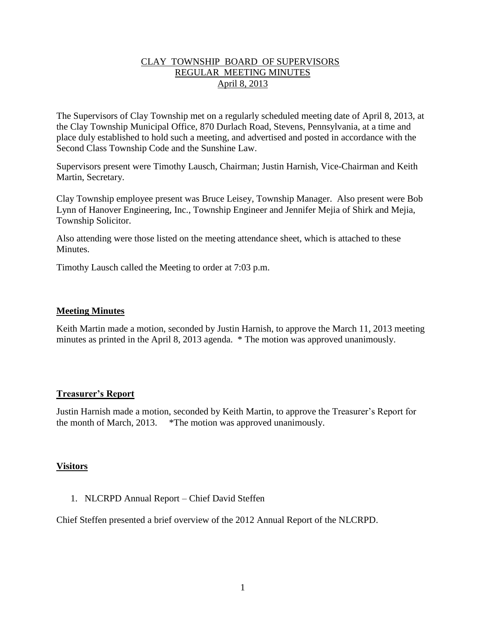## CLAY TOWNSHIP BOARD OF SUPERVISORS REGULAR MEETING MINUTES April 8, 2013

The Supervisors of Clay Township met on a regularly scheduled meeting date of April 8, 2013, at the Clay Township Municipal Office, 870 Durlach Road, Stevens, Pennsylvania, at a time and place duly established to hold such a meeting, and advertised and posted in accordance with the Second Class Township Code and the Sunshine Law.

Supervisors present were Timothy Lausch, Chairman; Justin Harnish, Vice-Chairman and Keith Martin, Secretary.

Clay Township employee present was Bruce Leisey, Township Manager. Also present were Bob Lynn of Hanover Engineering, Inc., Township Engineer and Jennifer Mejia of Shirk and Mejia, Township Solicitor.

Also attending were those listed on the meeting attendance sheet, which is attached to these **Minutes** 

Timothy Lausch called the Meeting to order at 7:03 p.m.

## **Meeting Minutes**

Keith Martin made a motion, seconded by Justin Harnish, to approve the March 11, 2013 meeting minutes as printed in the April 8, 2013 agenda. \* The motion was approved unanimously.

# **Treasurer's Report**

Justin Harnish made a motion, seconded by Keith Martin, to approve the Treasurer's Report for the month of March, 2013. \*The motion was approved unanimously.

### **Visitors**

1. NLCRPD Annual Report – Chief David Steffen

Chief Steffen presented a brief overview of the 2012 Annual Report of the NLCRPD.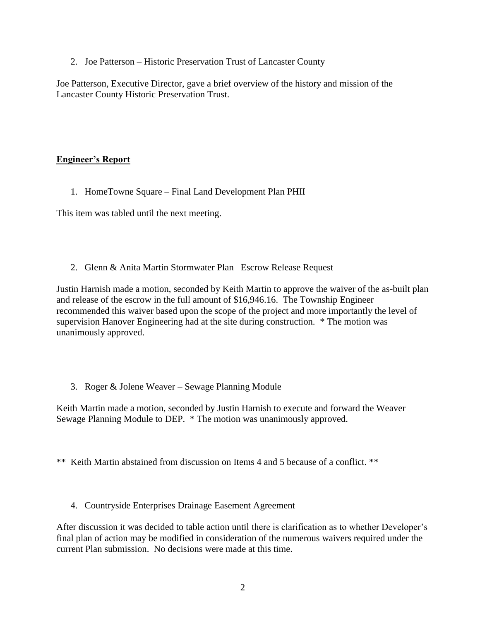2. Joe Patterson – Historic Preservation Trust of Lancaster County

Joe Patterson, Executive Director, gave a brief overview of the history and mission of the Lancaster County Historic Preservation Trust.

# **Engineer's Report**

1. HomeTowne Square – Final Land Development Plan PHII

This item was tabled until the next meeting.

2. Glenn & Anita Martin Stormwater Plan– Escrow Release Request

Justin Harnish made a motion, seconded by Keith Martin to approve the waiver of the as-built plan and release of the escrow in the full amount of \$16,946.16. The Township Engineer recommended this waiver based upon the scope of the project and more importantly the level of supervision Hanover Engineering had at the site during construction. \* The motion was unanimously approved.

3. Roger & Jolene Weaver – Sewage Planning Module

Keith Martin made a motion, seconded by Justin Harnish to execute and forward the Weaver Sewage Planning Module to DEP. \* The motion was unanimously approved.

\*\* Keith Martin abstained from discussion on Items 4 and 5 because of a conflict. \*\*

4. Countryside Enterprises Drainage Easement Agreement

After discussion it was decided to table action until there is clarification as to whether Developer's final plan of action may be modified in consideration of the numerous waivers required under the current Plan submission. No decisions were made at this time.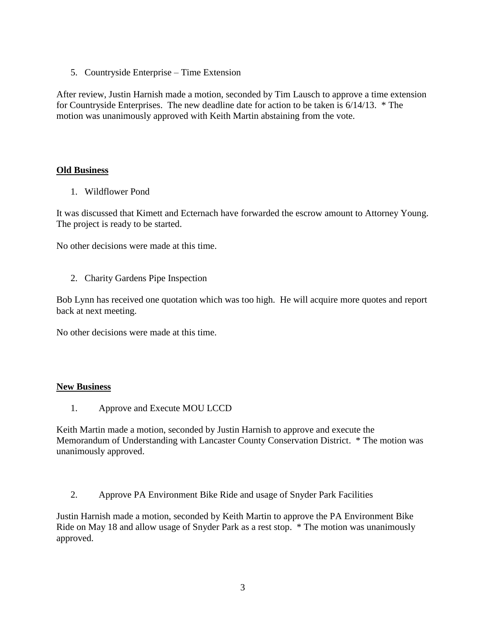5. Countryside Enterprise – Time Extension

After review, Justin Harnish made a motion, seconded by Tim Lausch to approve a time extension for Countryside Enterprises. The new deadline date for action to be taken is 6/14/13. \* The motion was unanimously approved with Keith Martin abstaining from the vote.

## **Old Business**

1. Wildflower Pond

It was discussed that Kimett and Ecternach have forwarded the escrow amount to Attorney Young. The project is ready to be started.

No other decisions were made at this time.

2. Charity Gardens Pipe Inspection

Bob Lynn has received one quotation which was too high. He will acquire more quotes and report back at next meeting.

No other decisions were made at this time.

### **New Business**

1. Approve and Execute MOU LCCD

Keith Martin made a motion, seconded by Justin Harnish to approve and execute the Memorandum of Understanding with Lancaster County Conservation District. \* The motion was unanimously approved.

2. Approve PA Environment Bike Ride and usage of Snyder Park Facilities

Justin Harnish made a motion, seconded by Keith Martin to approve the PA Environment Bike Ride on May 18 and allow usage of Snyder Park as a rest stop. \* The motion was unanimously approved.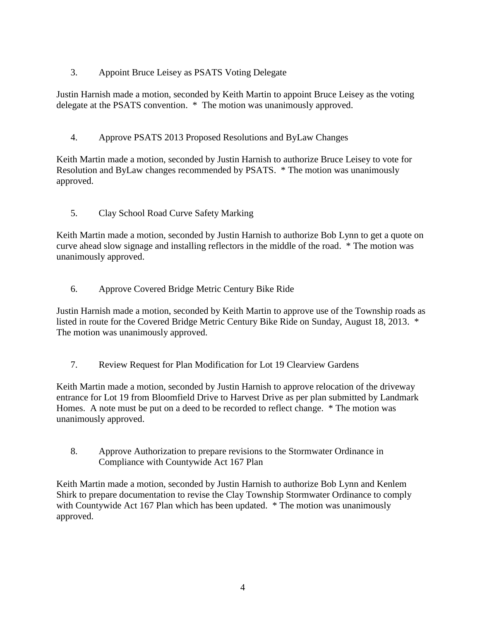3. Appoint Bruce Leisey as PSATS Voting Delegate

Justin Harnish made a motion, seconded by Keith Martin to appoint Bruce Leisey as the voting delegate at the PSATS convention. \* The motion was unanimously approved.

4. Approve PSATS 2013 Proposed Resolutions and ByLaw Changes

Keith Martin made a motion, seconded by Justin Harnish to authorize Bruce Leisey to vote for Resolution and ByLaw changes recommended by PSATS. \* The motion was unanimously approved.

5. Clay School Road Curve Safety Marking

Keith Martin made a motion, seconded by Justin Harnish to authorize Bob Lynn to get a quote on curve ahead slow signage and installing reflectors in the middle of the road. \* The motion was unanimously approved.

6. Approve Covered Bridge Metric Century Bike Ride

Justin Harnish made a motion, seconded by Keith Martin to approve use of the Township roads as listed in route for the Covered Bridge Metric Century Bike Ride on Sunday, August 18, 2013. \* The motion was unanimously approved.

7. Review Request for Plan Modification for Lot 19 Clearview Gardens

Keith Martin made a motion, seconded by Justin Harnish to approve relocation of the driveway entrance for Lot 19 from Bloomfield Drive to Harvest Drive as per plan submitted by Landmark Homes. A note must be put on a deed to be recorded to reflect change. \* The motion was unanimously approved.

8. Approve Authorization to prepare revisions to the Stormwater Ordinance in Compliance with Countywide Act 167 Plan

Keith Martin made a motion, seconded by Justin Harnish to authorize Bob Lynn and Kenlem Shirk to prepare documentation to revise the Clay Township Stormwater Ordinance to comply with Countywide Act 167 Plan which has been updated. \* The motion was unanimously approved.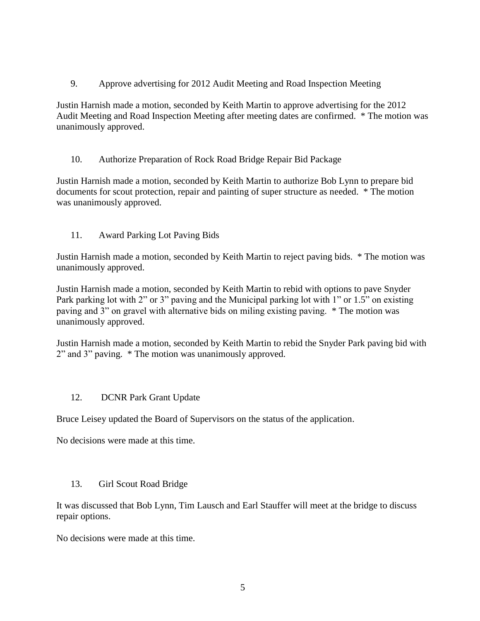9. Approve advertising for 2012 Audit Meeting and Road Inspection Meeting

Justin Harnish made a motion, seconded by Keith Martin to approve advertising for the 2012 Audit Meeting and Road Inspection Meeting after meeting dates are confirmed. \* The motion was unanimously approved.

# 10. Authorize Preparation of Rock Road Bridge Repair Bid Package

Justin Harnish made a motion, seconded by Keith Martin to authorize Bob Lynn to prepare bid documents for scout protection, repair and painting of super structure as needed. \* The motion was unanimously approved.

# 11. Award Parking Lot Paving Bids

Justin Harnish made a motion, seconded by Keith Martin to reject paving bids. \* The motion was unanimously approved.

Justin Harnish made a motion, seconded by Keith Martin to rebid with options to pave Snyder Park parking lot with 2" or 3" paving and the Municipal parking lot with 1" or 1.5" on existing paving and 3" on gravel with alternative bids on miling existing paving. \* The motion was unanimously approved.

Justin Harnish made a motion, seconded by Keith Martin to rebid the Snyder Park paving bid with 2" and 3" paving. \* The motion was unanimously approved.

# 12. DCNR Park Grant Update

Bruce Leisey updated the Board of Supervisors on the status of the application.

No decisions were made at this time.

# 13. Girl Scout Road Bridge

It was discussed that Bob Lynn, Tim Lausch and Earl Stauffer will meet at the bridge to discuss repair options.

No decisions were made at this time.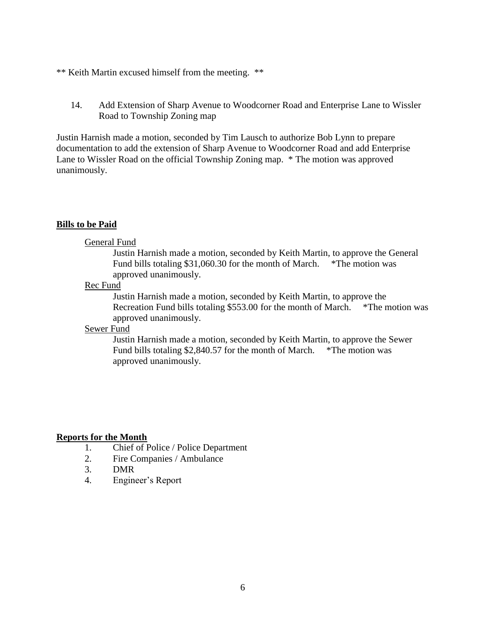#### \*\* Keith Martin excused himself from the meeting. \*\*

14. Add Extension of Sharp Avenue to Woodcorner Road and Enterprise Lane to Wissler Road to Township Zoning map

Justin Harnish made a motion, seconded by Tim Lausch to authorize Bob Lynn to prepare documentation to add the extension of Sharp Avenue to Woodcorner Road and add Enterprise Lane to Wissler Road on the official Township Zoning map. \* The motion was approved unanimously.

#### **Bills to be Paid**

#### General Fund

Justin Harnish made a motion, seconded by Keith Martin, to approve the General Fund bills totaling \$31,060.30 for the month of March. \*The motion was approved unanimously.

#### Rec Fund

Justin Harnish made a motion, seconded by Keith Martin, to approve the Recreation Fund bills totaling \$553.00 for the month of March. \*The motion was approved unanimously.

## Sewer Fund

Justin Harnish made a motion, seconded by Keith Martin, to approve the Sewer Fund bills totaling \$2,840.57 for the month of March. \*The motion was approved unanimously.

#### **Reports for the Month**

- 1. Chief of Police / Police Department
- 2. Fire Companies / Ambulance
- 3. DMR
- 4. Engineer's Report